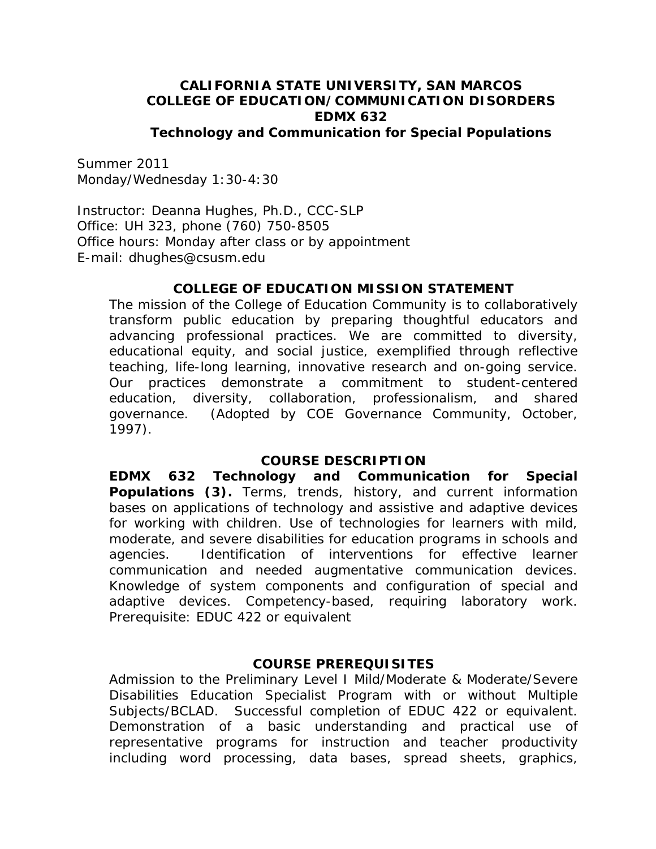#### **CALIFORNIA STATE UNIVERSITY, SAN MARCOS COLLEGE OF EDUCATION/COMMUNICATION DISORDERS EDMX 632 Technology and Communication for Special Populations**

Summer 2011 Monday/Wednesday 1:30-4:30

Instructor: Deanna Hughes, Ph.D., CCC-SLP Office: UH 323, phone (760) 750-8505 Office hours: Monday after class or by appointment E-mail: dhughes@csusm.edu

#### **COLLEGE OF EDUCATION MISSION STATEMENT**

The mission of the College of Education Community is to collaboratively transform public education by preparing thoughtful educators and advancing professional practices. We are committed to diversity, educational equity, and social justice, exemplified through reflective teaching, life-long learning, innovative research and on-going service. Our practices demonstrate a commitment to student-centered education, diversity, collaboration, professionalism, and shared governance. *(Adopted by COE Governance Community, October, 1997).* 

#### **COURSE DESCRIPTION**

communication and needed augmentative communication devices. **EDMX 632 Technology and Communication for Special Populations (3).** Terms, trends, history, and current information bases on applications of technology and assistive and adaptive devices for working with children. Use of technologies for learners with mild, moderate, and severe disabilities for education programs in schools and agencies. Identification of interventions for effective learner Knowledge of system components and configuration of special and adaptive devices. Competency-based, requiring laboratory work. Prerequisite: EDUC 422 or equivalent

#### **COURSE PREREQUISITES**

Admission to the Preliminary Level I Mild/Moderate & Moderate/Severe Disabilities Education Specialist Program with or without Multiple Subjects/BCLAD. Successful completion of EDUC 422 or equivalent. Demonstration of a basic understanding and practical use of representative programs for instruction and teacher productivity including word processing, data bases, spread sheets, graphics,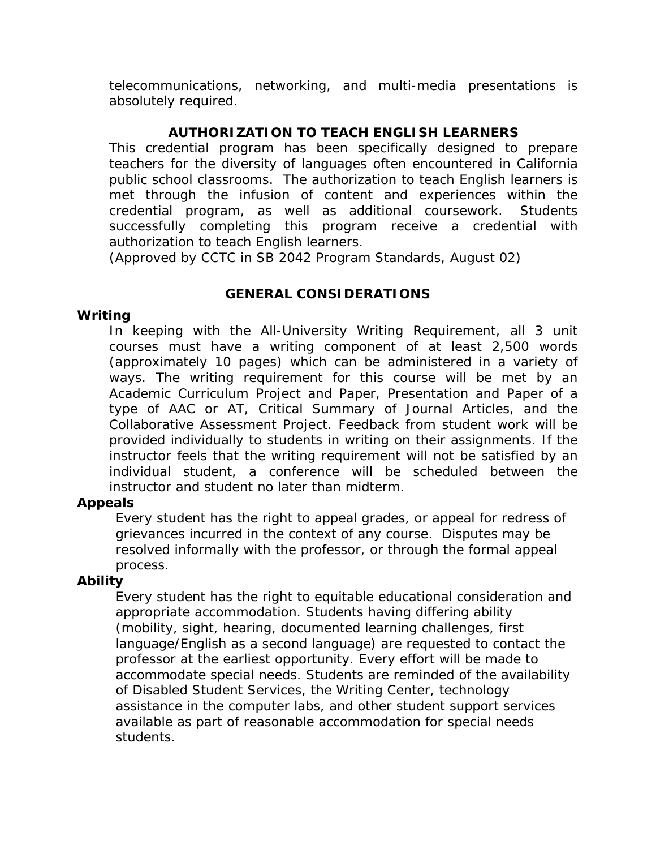telecommunications, networking, and multi-media presentations is absolutely required.

## **AUTHORIZATION TO TEACH ENGLISH LEARNERS**

 authorization to teach English learners. This credential program has been specifically designed to prepare teachers for the diversity of languages often encountered in California public school classrooms. The authorization to teach English learners is met through the infusion of content and experiences within the credential program, as well as additional coursework. Students successfully completing this program receive a credential with

*(Approved by CCTC in SB 2042 Program Standards, August 02)* 

### **GENERAL CONSIDERATIONS**

#### **Writing**

In keeping with the All-University Writing Requirement, all 3 unit courses must have a writing component of at least 2,500 words (approximately 10 pages) which can be administered in a variety of ways. The writing requirement for this course will be met by an Academic Curriculum Project and Paper, Presentation and Paper of a type of AAC or AT, Critical Summary of Journal Articles, and the Collaborative Assessment Project. Feedback from student work will be provided individually to students in writing on their assignments. If the instructor feels that the writing requirement will not be satisfied by an individual student, a conference will be scheduled between the instructor and student no later than midterm.

### **Appeals**

Every student has the right to appeal grades, or appeal for redress of grievances incurred in the context of any course. Disputes may be resolved informally with the professor, or through the formal appeal process.

### **Ability**

Every student has the right to equitable educational consideration and appropriate accommodation. Students having differing ability (mobility, sight, hearing, documented learning challenges, first language/English as a second language) are requested to contact the professor at the earliest opportunity. Every effort will be made to accommodate special needs. Students are reminded of the availability of Disabled Student Services, the Writing Center, technology assistance in the computer labs, and other student support services available as part of reasonable accommodation for special needs students.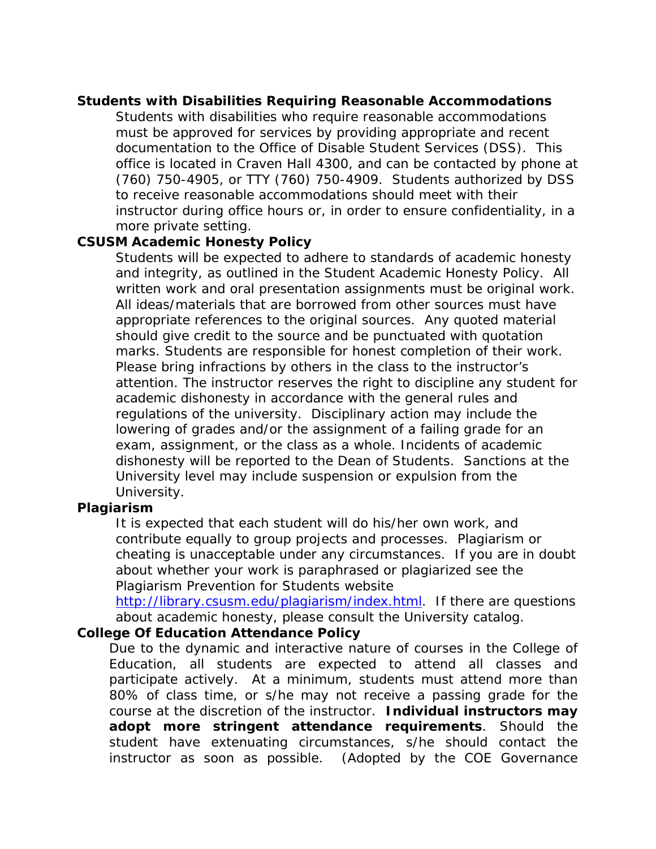#### **Students with Disabilities Requiring Reasonable Accommodations**

Students with disabilities who require reasonable accommodations must be approved for services by providing appropriate and recent documentation to the Office of Disable Student Services (DSS). This office is located in Craven Hall 4300, and can be contacted by phone at (760) 750-4905, or TTY (760) 750-4909. Students authorized by DSS to receive reasonable accommodations should meet with their instructor during office hours or, in order to ensure confidentiality, in a more private setting.

### **CSUSM Academic Honesty Policy**

Students will be expected to adhere to standards of academic honesty and integrity, as outlined in the Student Academic Honesty Policy. All written work and oral presentation assignments must be original work. All ideas/materials that are borrowed from other sources must have appropriate references to the original sources. Any quoted material should give credit to the source and be punctuated with quotation marks. Students are responsible for honest completion of their work. Please bring infractions by others in the class to the instructor's attention. The instructor reserves the right to discipline any student for academic dishonesty in accordance with the general rules and regulations of the university. Disciplinary action may include the lowering of grades and/or the assignment of a failing grade for an exam, assignment, or the class as a whole. Incidents of academic dishonesty will be reported to the Dean of Students. Sanctions at the University level may include suspension or expulsion from the University.

#### **Plagiarism**

It is expected that each student will do his/her own work, and contribute equally to group projects and processes. Plagiarism or cheating is unacceptable under any circumstances. If you are in doubt about whether your work is paraphrased or plagiarized see the Plagiarism Prevention for Students website

http://library.csusm.edu/plagiarism/index.html. If there are questions about academic honesty, please consult the University catalog.

### **College Of Education Attendance Policy**

Due to the dynamic and interactive nature of courses in the College of Education, all students are expected to attend all classes and participate actively. At a minimum, students must attend more than 80% of class time, or s/he may not receive a passing grade for the course at the discretion of the instructor. **Individual instructors may adopt more stringent attendance requirements**. Should the student have extenuating circumstances, s/he should contact the instructor as soon as possible. *(Adopted by the COE Governance*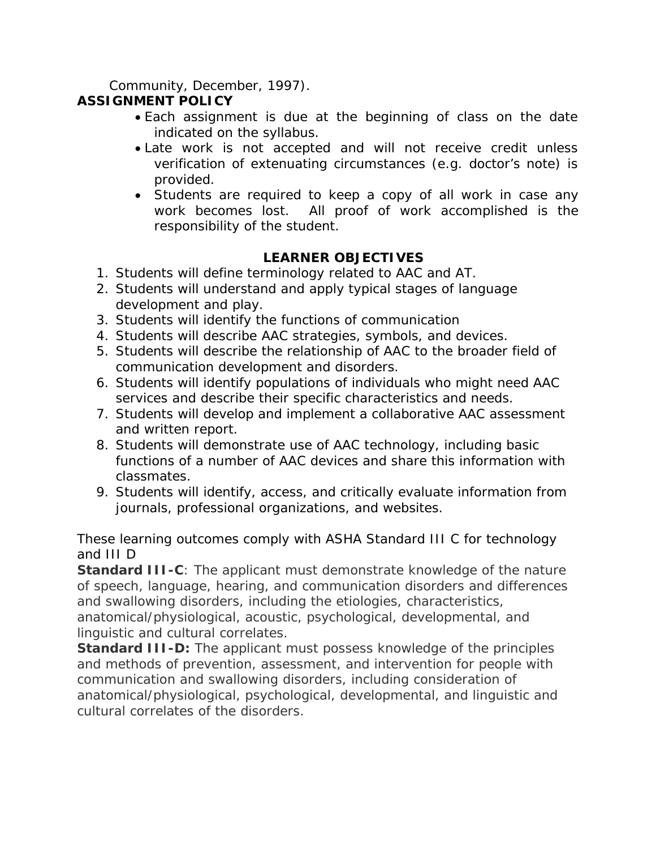*Community, December, 1997).* 

## **ASSIGNMENT POLICY**

- Each assignment is due at the beginning of class on the date indicated on the syllabus.
- Late work is not accepted and will not receive credit unless verification of extenuating circumstances (e.g. doctor's note) is provided.
- Students are required to keep a copy of all work in case any work becomes lost. All proof of work accomplished is the responsibility of the student.

# **LEARNER OBJECTIVES**

- 1. Students will define terminology related to AAC and AT.
- 2. Students will understand and apply typical stages of language development and play.
- 3. Students will identify the functions of communication
- 4. Students will describe AAC strategies, symbols, and devices.
- 5. Students will describe the relationship of AAC to the broader field of communication development and disorders.
- 6. Students will identify populations of individuals who might need AAC services and describe their specific characteristics and needs.
- 7. Students will develop and implement a collaborative AAC assessment and written report.
- 8. Students will demonstrate use of AAC technology, including basic functions of a number of AAC devices and share this information with classmates.
- 9. Students will identify, access, and critically evaluate information from journals, professional organizations, and websites.

These learning outcomes comply with ASHA Standard III C for technology and III D

**Standard III-C**: The applicant must demonstrate knowledge of the nature of speech, language, hearing, and communication disorders and differences and swallowing disorders, including the etiologies, characteristics, anatomical/physiological, acoustic, psychological, developmental, and linguistic and cultural correlates.

**Standard III-D:** The applicant must possess knowledge of the principles and methods of prevention, assessment, and intervention for people with communication and swallowing disorders, including consideration of anatomical/physiological, psychological, developmental, and linguistic and cultural correlates of the disorders.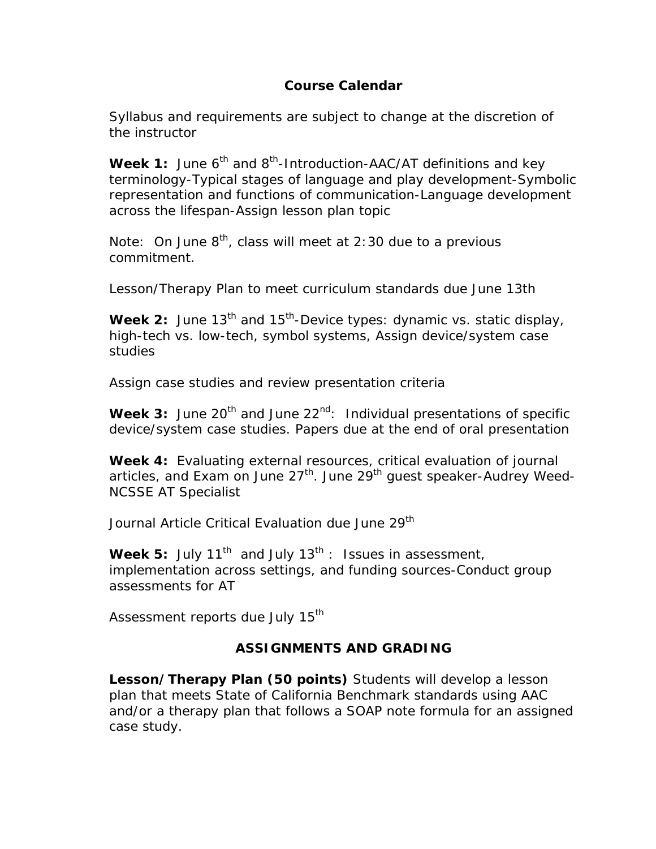## **Course Calendar**

Syllabus and requirements are subject to change at the discretion of the instructor

**Week 1:** June 6<sup>th</sup> and 8<sup>th</sup>-Introduction-AAC/AT definitions and key terminology-Typical stages of language and play development-Symbolic representation and functions of communication-Language development across the lifespan-Assign lesson plan topic

Note: On June  $8<sup>th</sup>$ , class will meet at 2:30 due to a previous commitment.

Lesson/Therapy Plan to meet curriculum standards due June 13th

**Week 2:** June 13<sup>th</sup> and 15<sup>th</sup>-Device types: dynamic vs. static display, high-tech vs. low-tech, symbol systems, Assign device/system case studies

Assign case studies and review presentation criteria

Week 3: June 20<sup>th</sup> and June 22<sup>nd</sup>: Individual presentations of specific device/system case studies. Papers due at the end of oral presentation

**Week 4:** Evaluating external resources, critical evaluation of journal articles, and Exam on June  $27<sup>th</sup>$ . June  $29<sup>th</sup>$  guest speaker-Audrey Weed-NCSSE AT Specialist

Journal Article Critical Evaluation due June 29<sup>th</sup>

**Week 5:** July 11<sup>th</sup> and July 13<sup>th</sup> : Issues in assessment, implementation across settings, and funding sources-Conduct group assessments for AT

Assessment reports due July 15<sup>th</sup>

# **ASSIGNMENTS AND GRADING**

**Lesson/Therapy Plan (50 points)** Students will develop a lesson plan that meets State of California Benchmark standards using AAC and/or a therapy plan that follows a SOAP note formula for an assigned case study.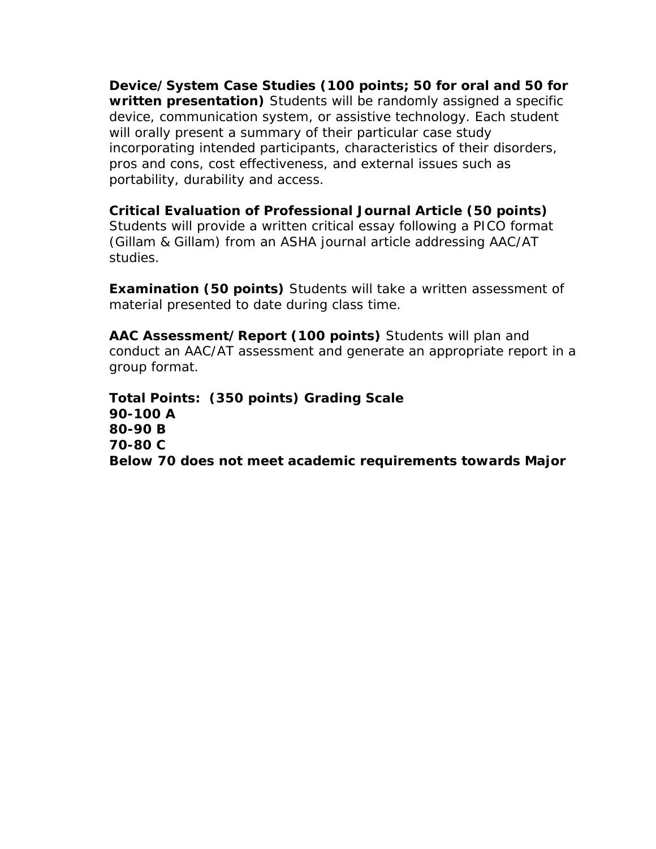**Device/System Case Studies (100 points; 50 for oral and 50 for written presentation)** Students will be randomly assigned a specific device, communication system, or assistive technology. Each student will orally present a summary of their particular case study incorporating intended participants, characteristics of their disorders, pros and cons, cost effectiveness, and external issues such as portability, durability and access.

**Critical Evaluation of Professional Journal Article (50 points)**  Students will provide a written critical essay following a PICO format (Gillam & Gillam) from an ASHA journal article addressing AAC/AT studies.

**Examination (50 points)** Students will take a written assessment of material presented to date during class time.

**AAC Assessment/Report (100 points)** Students will plan and conduct an AAC/AT assessment and generate an appropriate report in a group format.

**Total Points: (350 points) Grading Scale 90-100 A 80-90 B 70-80 C Below 70 does not meet academic requirements towards Major**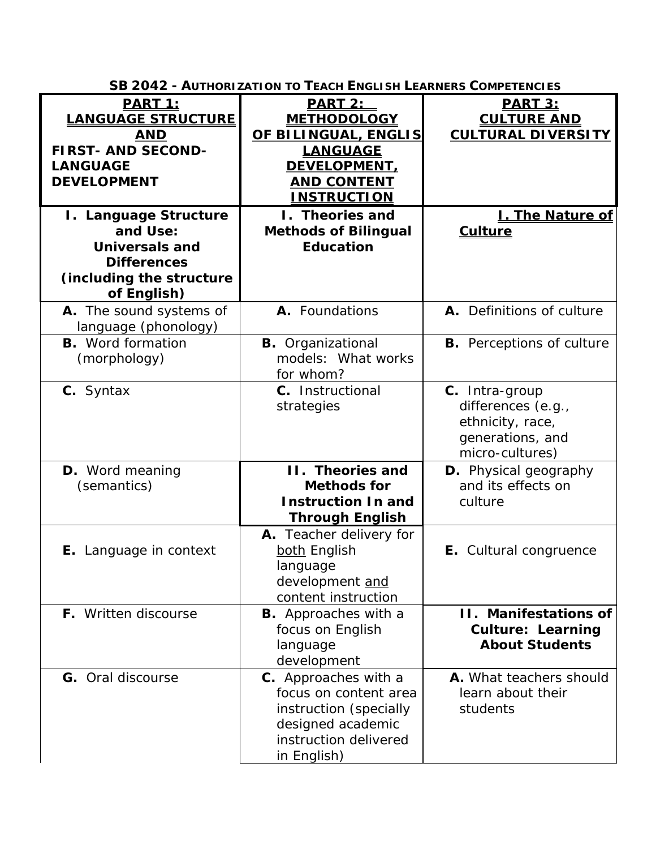| <b>SB 2042 - AUTHORIZATION TO TEACH ENGLISH LEARNERS COMPETENCIES</b>                                                           |                                                                                                                                            |                                                                                                 |  |
|---------------------------------------------------------------------------------------------------------------------------------|--------------------------------------------------------------------------------------------------------------------------------------------|-------------------------------------------------------------------------------------------------|--|
| <u>PART 1:</u><br><b>LANGUAGE STRUCTURE</b><br><b>AND</b><br><b>FIRST- AND SECOND-</b><br><b>LANGUAGE</b><br><b>DEVELOPMENT</b> | <b>PART 2:</b><br><b>METHODOLOGY</b><br>OF BILINGUAL, ENGLIS<br><b>LANGUAGE</b><br>DEVELOPMENT<br><b>AND CONTENT</b><br><u>INSTRUCTION</u> | <b>PART 3:</b><br><b>CULTURE AND</b><br><b>CULTURAL DIVERSITY</b>                               |  |
| I. Language Structure<br>and Use:<br><b>Universals and</b><br><b>Differences</b><br>(including the structure<br>of English)     | I. Theories and<br><b>Methods of Bilingual</b><br><b>Education</b>                                                                         | <b>L. The Nature of</b><br><b>Culture</b>                                                       |  |
| A. The sound systems of<br>language (phonology)                                                                                 | A. Foundations                                                                                                                             | A. Definitions of culture                                                                       |  |
| <b>B.</b> Word formation<br>(morphology)                                                                                        | <b>B.</b> Organizational<br>models: What works<br>for whom?                                                                                | <b>B.</b> Perceptions of culture                                                                |  |
| C. Syntax                                                                                                                       | C. Instructional<br>strategies                                                                                                             | C. Intra-group<br>differences (e.g.,<br>ethnicity, race,<br>generations, and<br>micro-cultures) |  |
| <b>D.</b> Word meaning<br>(semantics)                                                                                           | II. Theories and<br><b>Methods for</b><br><b>Instruction In and</b><br><b>Through English</b>                                              | D. Physical geography<br>and its effects on<br>culture                                          |  |
| E. Language in context                                                                                                          | A. Teacher delivery for<br>both English<br>language<br>development and<br>content instruction                                              | E. Cultural congruence                                                                          |  |
| F. Written discourse                                                                                                            | <b>B.</b> Approaches with a<br>focus on English<br>language<br>development                                                                 | <b>II. Manifestations of</b><br><b>Culture: Learning</b><br><b>About Students</b>               |  |
| <b>G.</b> Oral discourse                                                                                                        | C. Approaches with a<br>focus on content area<br>instruction (specially<br>designed academic<br>instruction delivered<br>in English)       | A. What teachers should<br>learn about their<br>students                                        |  |